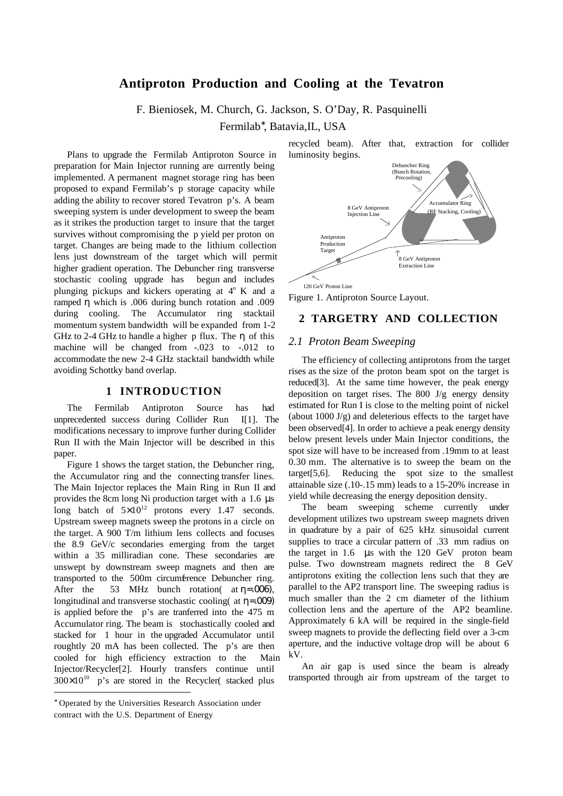# **Antiproton Production and Cooling at the Tevatron**

F. Bieniosek, M. Church, G. Jackson, S. O'Day, R. Pasquinelli

Fermilab<sup>∗</sup> , Batavia,IL, USA

Plans to upgrade the Fermilab Antiproton Source in preparation for Main Injector running are currently being implemented. A permanent magnet storage ring has been proposed to expand Fermilab's p storage capacity while adding the ability to recover stored Tevatron p's. A beam sweeping system is under development to sweep the beam as it strikes the production target to insure that the target survives without compromising the  $\bar{p}$  yield per proton on target. Changes are being made to the lithium collection lens just downstream of the target which will permit higher gradient operation. The Debuncher ring transverse stochastic cooling upgrade has begun and includes plunging pickups and kickers operating at  $4^\circ$  K and a ramped η which is .006 during bunch rotation and .009 during cooling. The Accumulator ring stacktail momentum system bandwidth will be expanded from 1-2 GHz to 2-4 GHz to handle a higher p flux. The  $\eta$  of this machine will be changed from  $-.023$  to  $-.012$  to accommodate the new 2-4 GHz stacktail bandwidth while avoiding Schottky band overlap.

### **1 INTRODUCTION**

The Fermilab Antiproton Source has had unprecedented success during Collider Run I[1]. The modifications necessary to improve further during Collider Run II with the Main Injector will be described in this paper.

Figure 1 shows the target station, the Debuncher ring, the Accumulator ring and the connecting transfer lines. The Main Injector replaces the Main Ring in Run II and provides the 8cm long Ni production target with a 1.6 µs long batch of  $5\times10^{12}$  protons every 1.47 seconds. Upstream sweep magnets sweep the protons in a circle on the target. A 900 T/m lithium lens collects and focuses the 8.9 GeV/c secondaries emerging from the target within a 35 milliradian cone. These secondaries are unswept by downstream sweep magnets and then are transported to the 500m circumference Debuncher ring. After the 53 MHz bunch rotation at  $\eta = .006$ ), longitudinal and transverse stochastic cooling( at  $\eta = .009$ ) is applied before the p's are tranferred into the 475 m Accumulator ring. The beam is stochastically cooled and stacked for 1 hour in the upgraded Accumulator until roughtly 20 mA has been collected. The p's are then cooled for high efficiency extraction to the Main Injector/Recycler[2]. Hourly transfers continue until  $300\times10^{10}$  p's are stored in the Recycler( stacked plus

recycled beam). After that, extraction for collider luminosity begins.



Figure 1. Antiproton Source Layout.

### **2 TARGETRY AND COLLECTION**

#### *2.1 Proton Beam Sweeping*

The efficiency of collecting antiprotons from the target rises as the size of the proton beam spot on the target is reduced[3]. At the same time however, the peak energy deposition on target rises. The 800 J/g energy density estimated for Run I is close to the melting point of nickel (about  $1000 \text{ J/g}$ ) and deleterious effects to the target have been observed[4]. In order to achieve a peak energy density below present levels under Main Injector conditions, the spot size will have to be increased from .19mm to at least 0.30 mm. The alternative is to sweep the beam on the target[5,6]. Reducing the spot size to the smallest attainable size (.10-.15 mm) leads to a 15-20% increase in yield while decreasing the energy deposition density.

The beam sweeping scheme currently under development utilizes two upstream sweep magnets driven in quadrature by a pair of 625 kHz sinusoidal current supplies to trace a circular pattern of .33 mm radius on the target in 1.6 µs with the 120 GeV proton beam pulse. Two downstream magnets redirect the 8 GeV antiprotons exiting the collection lens such that they are parallel to the AP2 transport line. The sweeping radius is much smaller than the 2 cm diameter of the lithium collection lens and the aperture of the AP2 beamline. Approximately 6 kA will be required in the single-field sweep magnets to provide the deflecting field over a 3-cm aperture, and the inductive voltage drop will be about 6 kV.

An air gap is used since the beam is already transported through air from upstream of the target to

 $\overline{a}$ 

<sup>∗</sup> Operated by the Universities Research Association under contract with the U.S. Department of Energy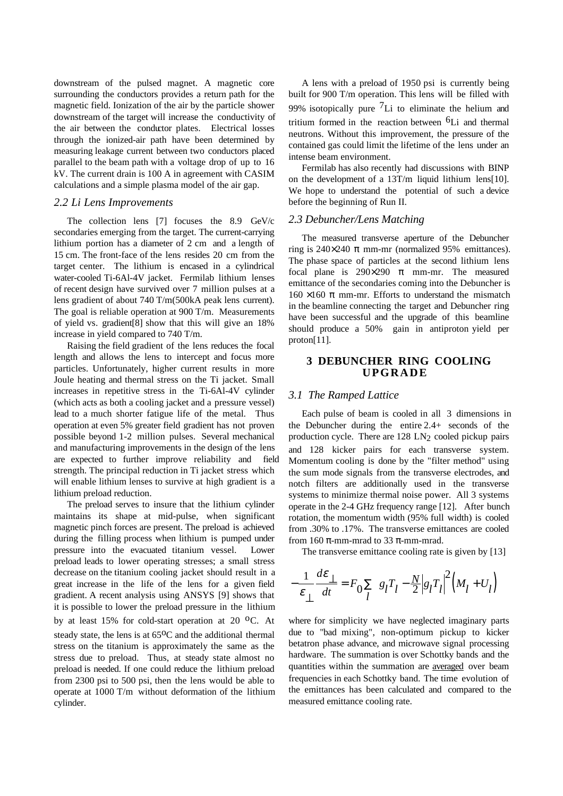downstream of the pulsed magnet. A magnetic core surrounding the conductors provides a return path for the magnetic field. Ionization of the air by the particle shower downstream of the target will increase the conductivity of the air between the conductor plates. Electrical losses through the ionized-air path have been determined by measuring leakage current between two conductors placed parallel to the beam path with a voltage drop of up to 16 kV. The current drain is 100 A in agreement with CASIM calculations and a simple plasma model of the air gap.

#### *2.2 Li Lens Improvements*

The collection lens [7] focuses the 8.9 GeV/c secondaries emerging from the target. The current-carrying lithium portion has a diameter of 2 cm and a length of 15 cm. The front-face of the lens resides 20 cm from the target center. The lithium is encased in a cylindrical water-cooled Ti-6Al-4V jacket. Fermilab lithium lenses of recent design have survived over 7 million pulses at a lens gradient of about 740 T/m(500kA peak lens current). The goal is reliable operation at 900 T/m. Measurements of yield vs. gradient[8] show that this will give an 18% increase in yield compared to 740 T/m.

Raising the field gradient of the lens reduces the focal length and allows the lens to intercept and focus more particles. Unfortunately, higher current results in more Joule heating and thermal stress on the Ti jacket. Small increases in repetitive stress in the Ti-6Al-4V cylinder (which acts as both a cooling jacket and a pressure vessel) lead to a much shorter fatigue life of the metal. Thus operation at even 5% greater field gradient has not proven possible beyond 1-2 million pulses. Several mechanical and manufacturing improvements in the design of the lens are expected to further improve reliability and field strength. The principal reduction in Ti jacket stress which will enable lithium lenses to survive at high gradient is a lithium preload reduction.

The preload serves to insure that the lithium cylinder maintains its shape at mid-pulse, when significant magnetic pinch forces are present. The preload is achieved during the filling process when lithium is pumped under pressure into the evacuated titanium vessel. Lower preload leads to lower operating stresses; a small stress decrease on the titanium cooling jacket should result in a great increase in the life of the lens for a given field gradient. A recent analysis using ANSYS [9] shows that it is possible to lower the preload pressure in the lithium by at least 15% for cold-start operation at 20  $^{\circ}$ C. At steady state, the lens is at  $65^{\circ}$ C and the additional thermal stress on the titanium is approximately the same as the stress due to preload. Thus, at steady state almost no preload is needed. If one could reduce the lithium preload from 2300 psi to 500 psi, then the lens would be able to operate at 1000 T/m without deformation of the lithium cylinder.

A lens with a preload of 1950 psi is currently being built for 900 T/m operation. This lens will be filled with 99% isotopically pure  ${}^{7}$ Li to eliminate the helium and tritium formed in the reaction between  $6L<sub>i</sub>$  and thermal neutrons. Without this improvement, the pressure of the contained gas could limit the lifetime of the lens under an intense beam environment.

Fermilab has also recently had discussions with BINP on the development of a 13T/m liquid lithium lens[10]. We hope to understand the potential of such a device before the beginning of Run II.

#### *2.3 Debuncher/Lens Matching*

The measured transverse aperture of the Debuncher ring is  $240\times240 \pi$  mm-mr (normalized 95% emittances). The phase space of particles at the second lithium lens focal plane is  $290\times290$  π mm-mr. The measured emittance of the secondaries coming into the Debuncher is  $160 \times 160 \pi$  mm-mr. Efforts to understand the mismatch in the beamline connecting the target and Debuncher ring have been successful and the upgrade of this beamline should produce a 50% gain in antiproton yield per proton[11].

### **3 DEBUNCHER RING COOLING UPGRADE**

#### *3.1 The Ramped Lattice*

Each pulse of beam is cooled in all 3 dimensions in the Debuncher during the entire 2.4+ seconds of the production cycle. There are  $128 \text{ LN}_2$  cooled pickup pairs and 128 kicker pairs for each transverse system. Momentum cooling is done by the "filter method" using the sum mode signals from the transverse electrodes, and notch filters are additionally used in the transverse systems to minimize thermal noise power. All 3 systems operate in the 2-4 GHz frequency range [12]. After bunch rotation, the momentum width (95% full width) is cooled from .30% to .17%. The transverse emittances are cooled from 160 π-mm-mrad to 33 π-mm-mrad.

The transverse emittance cooling rate is given by [13]

$$
-\frac{1}{\varepsilon_{\perp}}\frac{d\varepsilon_{\perp}}{dt} = F_0 \sum_{l} \left\{ g_l T_l - \frac{N}{2} \left| g_l T_l \right|^2 \left( M_l + U_l \right) \right\}
$$

where for simplicity we have neglected imaginary parts due to "bad mixing", non-optimum pickup to kicker betatron phase advance, and microwave signal processing hardware. The summation is over Schottky bands and the quantities within the summation are **averaged** over beam frequencies in each Schottky band. The time evolution of the emittances has been calculated and compared to the measured emittance cooling rate.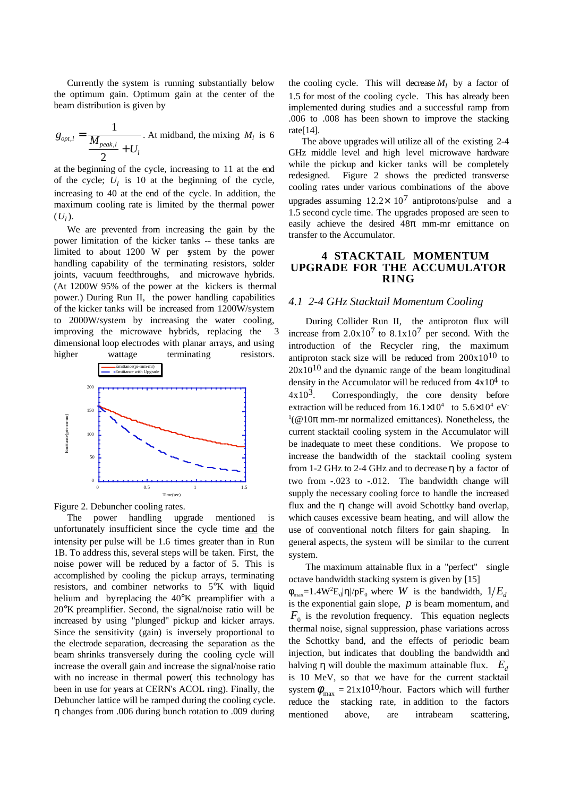Currently the system is running substantially below the optimum gain. Optimum gain at the center of the beam distribution is given by

$$
g_{opt,l} = \frac{1}{\frac{M_{peak,l}}{2} + U_l}
$$
. At midband, the mixing  $M_l$  is 6

at the beginning of the cycle, increasing to 11 at the end of the cycle;  $U_l$  is 10 at the beginning of the cycle, increasing to 40 at the end of the cycle. In addition, the maximum cooling rate is limited by the thermal power  $(U<sub>I</sub>)$ .

We are prevented from increasing the gain by the power limitation of the kicker tanks -- these tanks are limited to about 1200 W per system by the power handling capability of the terminating resistors, solder joints, vacuum feedthroughs, and microwave hybrids. (At 1200W 95% of the power at the kickers is thermal power.) During Run II, the power handling capabilities of the kicker tanks will be increased from 1200W/system to 2000W/system by increasing the water cooling, improving the microwave hybrids, replacing the dimensional loop electrodes with planar arrays, and using





The power handling upgrade mentioned is unfortunately insufficient since the cycle time and the intensity per pulse will be 1.6 times greater than in Run 1B. To address this, several steps will be taken. First, the noise power will be reduced by a factor of 5. This is accomplished by cooling the pickup arrays, terminating resistors, and combiner networks to 5°K with liquid helium and by replacing the 40°K preamplifier with a 20°K preamplifier. Second, the signal/noise ratio will be increased by using "plunged" pickup and kicker arrays. Since the sensitivity (gain) is inversely proportional to the electrode separation, decreasing the separation as the beam shrinks transversely during the cooling cycle will increase the overall gain and increase the signal/noise ratio with no increase in thermal power( this technology has been in use for years at CERN's ACOL ring). Finally, the Debuncher lattice will be ramped during the cooling cycle. η changes from .006 during bunch rotation to .009 during the cooling cycle. This will decrease  $M_l$  by a factor of 1.5 for most of the cooling cycle. This has already been implemented during studies and a successful ramp from .006 to .008 has been shown to improve the stacking rate[14].

The above upgrades will utilize all of the existing 2-4 GHz middle level and high level microwave hardware while the pickup and kicker tanks will be completely redesigned. Figure 2 shows the predicted transverse cooling rates under various combinations of the above upgrades assuming  $12.2 \times 10^7$  antiprotons/pulse and a 1.5 second cycle time. The upgrades proposed are seen to easily achieve the desired  $48\pi$  mm-mr emittance on transfer to the Accumulator.

### **4 STACKTAIL MOMENTUM UPGRADE FOR THE ACCUMULATOR RING**

### *4.1 2-4 GHz Stacktail Momentum Cooling*

During Collider Run II, the antiproton flux will increase from  $2.0x10<sup>7</sup>$  to  $8.1x10<sup>7</sup>$  per second. With the introduction of the Recycler ring, the maximum antiproton stack size will be reduced from  $200x10^{10}$  to  $20x10^{10}$  and the dynamic range of the beam longitudinal density in the Accumulator will be reduced from  $4x10^4$  to  $4x10<sup>3</sup>$ . Correspondingly, the core density before extraction will be reduced from  $16.1 \times 10^4$  to  $5.6 \times 10^4$  eV  $1$ (@10 $\pi$  mm-mr normalized emittances). Nonetheless, the current stacktail cooling system in the Accumulator will be inadequate to meet these conditions. We propose to increase the bandwidth of the stacktail cooling system from 1-2 GHz to 2-4 GHz and to decrease η by a factor of two from -.023 to -.012. The bandwidth change will supply the necessary cooling force to handle the increased flux and the η change will avoid Schottky band overlap, which causes excessive beam heating, and will allow the use of conventional notch filters for gain shaping. In general aspects, the system will be similar to the current system.

The maximum attainable flux in a "perfect" single octave bandwidth stacking system is given by [15]  $\phi_{\text{max}} = 1.4 \text{W}^2 \text{E}_d |\eta| / p \text{F}_0$  where *W* is the bandwidth,  $1/E_d$ is the exponential gain slope,  $p$  is beam momentum, and  $F_0$  is the revolution frequency. This equation neglects thermal noise, signal suppression, phase variations across the Schottky band, and the effects of periodic beam injection, but indicates that doubling the bandwidth and halving  $\eta$  will double the maximum attainable flux.  $E_d$ is 10 MeV, so that we have for the current stacktail system  $\phi_{\text{max}} = 21x10^{10}$ /hour. Factors which will further reduce the stacking rate, in addition to the factors mentioned above, are intrabeam scattering,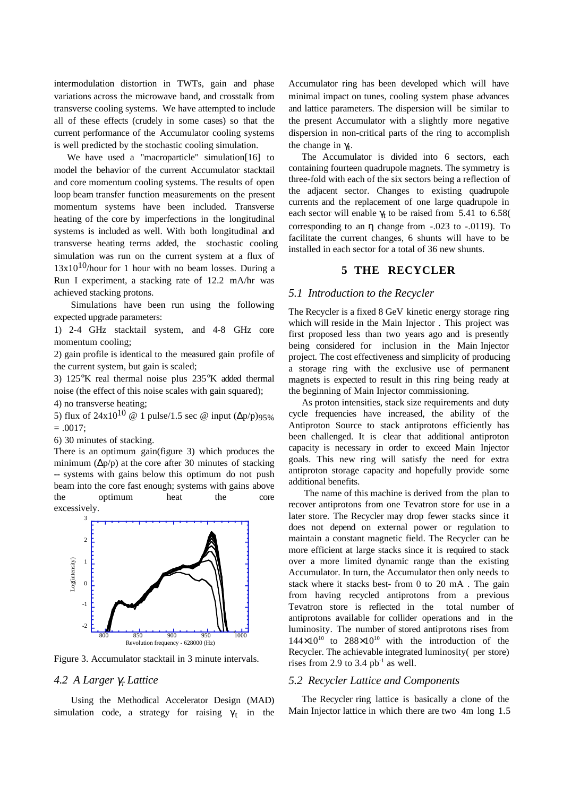intermodulation distortion in TWTs, gain and phase variations across the microwave band, and crosstalk from transverse cooling systems. We have attempted to include all of these effects (crudely in some cases) so that the current performance of the Accumulator cooling systems is well predicted by the stochastic cooling simulation.

We have used a "macroparticle" simulation[16] to model the behavior of the current Accumulator stacktail and core momentum cooling systems. The results of open loop beam transfer function measurements on the present momentum systems have been included. Transverse heating of the core by imperfections in the longitudinal systems is included as well. With both longitudinal and transverse heating terms added, the stochastic cooling simulation was run on the current system at a flux of  $13x10^{10}$ /hour for 1 hour with no beam losses. During a Run I experiment, a stacking rate of 12.2 mA/hr was achieved stacking protons.

Simulations have been run using the following expected upgrade parameters:

1) 2-4 GHz stacktail system, and 4-8 GHz core momentum cooling;

2) gain profile is identical to the measured gain profile of the current system, but gain is scaled;

3) 125°K real thermal noise plus 235°K added thermal noise (the effect of this noise scales with gain squared);

4) no transverse heating;

5) flux of  $24x10^{10}$  @ 1 pulse/1.5 sec @ input  $(\Delta p/p)95\%$  $= .0017$ :

6) 30 minutes of stacking.

There is an optimum gain(figure 3) which produces the minimum ( $\Delta p/p$ ) at the core after 30 minutes of stacking -- systems with gains below this optimum do not push beam into the core fast enough; systems with gains above the optimum heat the core excessively.



Figure 3. Accumulator stacktail in 3 minute intervals.

## *4.2 A Larger* γ*T Lattice*

Using the Methodical Accelerator Design (MAD) simulation code, a strategy for raising  $\gamma_t$  in the Accumulator ring has been developed which will have minimal impact on tunes, cooling system phase advances and lattice parameters. The dispersion will be similar to the present Accumulator with a slightly more negative dispersion in non-critical parts of the ring to accomplish the change in  $\gamma_t$ .

The Accumulator is divided into 6 sectors, each containing fourteen quadrupole magnets. The symmetry is three-fold with each of the six sectors being a reflection of the adjacent sector. Changes to existing quadrupole currents and the replacement of one large quadrupole in each sector will enable  $\gamma_t$  to be raised from 5.41 to 6.58( corresponding to an  $\eta$  change from  $-.023$  to  $-.0119$ ). To facilitate the current changes, 6 shunts will have to be installed in each sector for a total of 36 new shunts.

## **5 THE RECYCLER**

### *5.1 Introduction to the Recycler*

The Recycler is a fixed 8 GeV kinetic energy storage ring which will reside in the Main Injector . This project was first proposed less than two years ago and is presently being considered for inclusion in the Main Injector project. The cost effectiveness and simplicity of producing a storage ring with the exclusive use of permanent magnets is expected to result in this ring being ready at the beginning of Main Injector commissioning.

As proton intensities, stack size requirements and duty cycle frequencies have increased, the ability of the Antiproton Source to stack antiprotons efficiently has been challenged. It is clear that additional antiproton capacity is necessary in order to exceed Main Injector goals. This new ring will satisfy the need for extra antiproton storage capacity and hopefully provide some additional benefits.

 The name of this machine is derived from the plan to recover antiprotons from one Tevatron store for use in a later store. The Recycler may drop fewer stacks since it does not depend on external power or regulation to maintain a constant magnetic field. The Recycler can be more efficient at large stacks since it is required to stack over a more limited dynamic range than the existing Accumulator. In turn, the Accumulator then only needs to stack where it stacks best- from 0 to 20 mA . The gain from having recycled antiprotons from a previous Tevatron store is reflected in the total number of antiprotons available for collider operations and in the luminosity. The number of stored antiprotons rises from  $144\times10^{10}$  to  $288\times10^{10}$  with the introduction of the Recycler. The achievable integrated luminosity( per store) rises from 2.9 to 3.4  $pb^{-1}$  as well.

# *5.2 Recycler Lattice and Components*

The Recycler ring lattice is basically a clone of the Main Injector lattice in which there are two 4m long 1.5